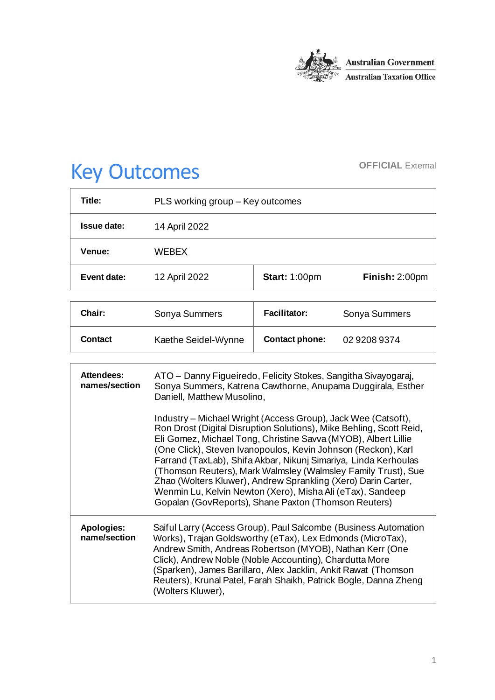

# Key Outcomes **OFFICIAL External**

| Title:      | PLS working group – Key outcomes |                      |                |
|-------------|----------------------------------|----------------------|----------------|
| Issue date: | 14 April 2022                    |                      |                |
| Venue:      | WEBEX                            |                      |                |
| Event date: | 12 April 2022                    | <b>Start: 1:00pm</b> | Finish: 2:00pm |

| Chair:         | Sonya Summers       | <b>Facilitator:</b>   | Sonya Summers |
|----------------|---------------------|-----------------------|---------------|
| <b>Contact</b> | Kaethe Seidel-Wynne | <b>Contact phone:</b> | 02 9208 9374  |

| Attendees:<br>names/section       | ATO – Danny Figueiredo, Felicity Stokes, Sangitha Sivayogaraj,<br>Sonya Summers, Katrena Cawthorne, Anupama Duggirala, Esther<br>Daniell, Matthew Musolino,                                                                                                                                                                                                                                                                                                                                                                                                                                        |  |
|-----------------------------------|----------------------------------------------------------------------------------------------------------------------------------------------------------------------------------------------------------------------------------------------------------------------------------------------------------------------------------------------------------------------------------------------------------------------------------------------------------------------------------------------------------------------------------------------------------------------------------------------------|--|
|                                   | Industry – Michael Wright (Access Group), Jack Wee (Catsoft),<br>Ron Drost (Digital Disruption Solutions), Mike Behling, Scott Reid,<br>Eli Gomez, Michael Tong, Christine Savva (MYOB), Albert Lillie<br>(One Click), Steven Ivanopoulos, Kevin Johnson (Reckon), Karl<br>Farrand (TaxLab), Shifa Akbar, Nikunj Simariya, Linda Kerhoulas<br>(Thomson Reuters), Mark Walmsley (Walmsley Family Trust), Sue<br>Zhao (Wolters Kluwer), Andrew Sprankling (Xero) Darin Carter,<br>Wenmin Lu, Kelvin Newton (Xero), Misha Ali (eTax), Sandeep<br>Gopalan (GovReports), Shane Paxton (Thomson Reuters) |  |
| <b>Apologies:</b><br>name/section | Saiful Larry (Access Group), Paul Salcombe (Business Automation<br>Works), Trajan Goldsworthy (eTax), Lex Edmonds (MicroTax),<br>Andrew Smith, Andreas Robertson (MYOB), Nathan Kerr (One<br>Click), Andrew Noble (Noble Accounting), Chardutta More<br>(Sparken), James Barillaro, Alex Jacklin, Ankit Rawat (Thomson<br>Reuters), Krunal Patel, Farah Shaikh, Patrick Bogle, Danna Zheng<br>(Wolters Kluwer),                                                                                                                                                                                    |  |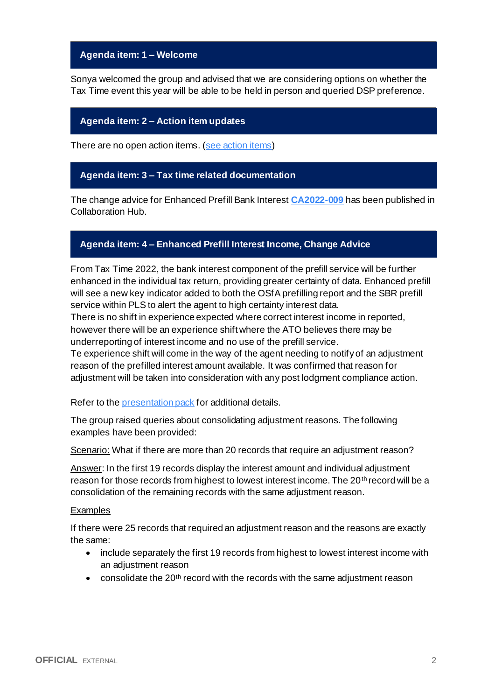## **Agenda item: 1 – Welcome**

Sonya welcomed the group and advised that we are considering options on whether the Tax Time event this year will be able to be held in person and queried DSP preference.

## **Agenda item: 2 – Action item updates**

There are no open action items. [\(see action items\)](https://developer.sbr.gov.au/collaborate/display/DSPCOLLAB/PLSWG+action+items)

### **Agenda item: 3 – Tax time related documentation**

The change advice for Enhanced Prefill Bank Interest **[CA2022-009](https://developer.sbr.gov.au/collaborate/display/DSPCOLLAB/Controlled+information)** has been published in Collaboration Hub.

## **Agenda item: 4 – Enhanced Prefill Interest Income, Change Advice**

From Tax Time 2022, the bank interest component of the prefill service will be further enhanced in the individual tax return, providing greater certainty of data. Enhanced prefill will see a new key indicator added to both the OSfA prefilling report and the SBR prefill service within PLS to alert the agent to high certainty interest data.

There is no shift in experience expected where correct interest income in reported, however there will be an experience shift where the ATO believes there may be underreporting of interest income and no use of the prefill service.

Te experience shift will come in the way of the agent needing to notify of an adjustment reason of the prefilled interest amount available. It was confirmed that reason for adjustment will be taken into consideration with any post lodgment compliance action.

Refer to the *presentation pack* for additional details.

The group raised queries about consolidating adjustment reasons. The following examples have been provided:

Scenario: What if there are more than 20 records that require an adjustment reason?

Answer: In the first 19 records display the interest amount and individual adjustment reason for those records from highest to lowest interest income. The 20<sup>th</sup> record will be a consolidation of the remaining records with the same adjustment reason.

#### Examples

If there were 25 records that required an adjustment reason and the reasons are exactly the same:

- include separately the first 19 records from highest to lowest interest income with an adjustment reason
- consolidate the 20<sup>th</sup> record with the records with the same adjustment reason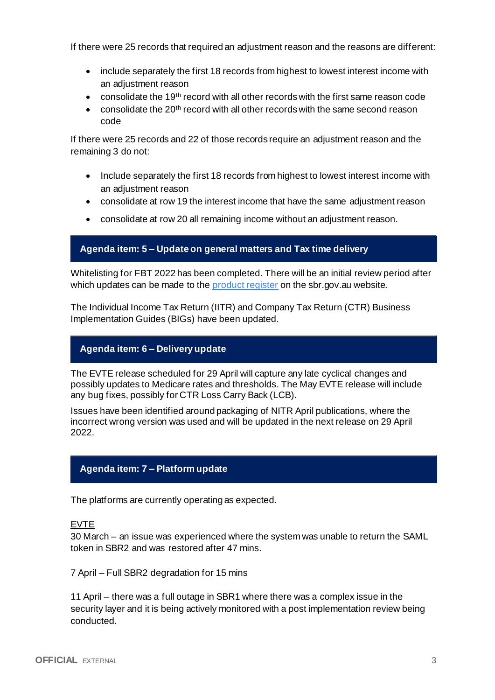If there were 25 records that required an adjustment reason and the reasons are different:

- include separately the first 18 records from highest to lowest interest income with an adjustment reason
- consolidate the 19th record with all other records with the first same reason code
- consolidate the 20<sup>th</sup> record with all other records with the same second reason code

If there were 25 records and 22 of those records require an adjustment reason and the remaining 3 do not:

- Include separately the first 18 records from highest to lowest interest income with an adjustment reason
- consolidate at row 19 the interest income that have the same adjustment reason
- consolidate at row 20 all remaining income without an adjustment reason.

#### **Agenda item: 5 – Update on general matters and Tax time delivery**

Whitelisting for FBT 2022 has been completed. There will be an initial review period after which updates can be made to the [product register](https://softwaredevelopers.ato.gov.au/product-register) on the sbr.gov.au website.

The Individual Income Tax Return (IITR) and Company Tax Return (CTR) Business Implementation Guides (BIGs) have been updated.

### **Agenda item: 6 – Delivery update**

The EVTE release scheduled for 29 April will capture any late cyclical changes and possibly updates to Medicare rates and thresholds. The May EVTE release will include any bug fixes, possibly for CTR Loss Carry Back (LCB).

Issues have been identified around packaging of NITR April publications, where the incorrect wrong version was used and will be updated in the next release on 29 April 2022.

## **Agenda item: 7 – Platform update**

The platforms are currently operating as expected.

EVTE

30 March – an issue was experienced where the system was unable to return the SAML token in SBR2 and was restored after 47 mins.

7 April – Full SBR2 degradation for 15 mins

11 April – there was a full outage in SBR1 where there was a complex issue in the security layer and it is being actively monitored with a post implementation review being conducted.